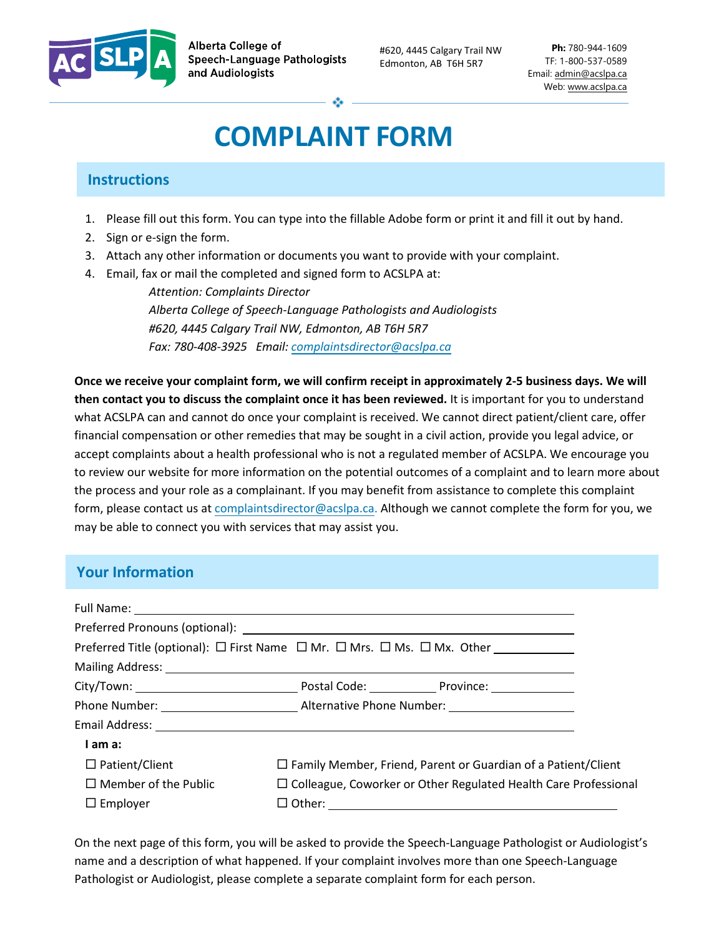

Alberta College of **Speech-Language Pathologists** and Audiologists

#620, 4445 Calgary Trail NW Edmonton, AB T6H 5R7

**Ph:** 780-944-1609 TF: 1-800-537-0589 Email: admin@acslpa.ca Web: www.acslpa.ca

# **COMPLAINT FORM**

## **Instructions**

- 1. Please fill out this form. You can type into the fillable Adobe form or print it and fill it out by hand.
- 2. Sign or e-sign the form.
- 3. Attach any other information or documents you want to provide with your complaint.
- 4. Email, fax or mail the completed and signed form to ACSLPA at:

*Attention: Complaints Director Alberta College of Speech-Language Pathologists and Audiologists #620, 4445 Calgary Trail NW, Edmonton, AB T6H 5R7 Fax: 780-408-3925 Email: [complaintsdirector@acslpa.ca](mailto:complaintsdirector@acslpa.ca)*

**Once we receive your complaint form, we will confirm receipt in approximately 2-5 business days. We will then contact you to discuss the complaint once it has been reviewed.** It is important for you to understand what ACSLPA can and cannot do once your complaint is received. We cannot direct patient/client care, offer financial compensation or other remedies that may be sought in a civil action, provide you legal advice, or accept complaints about a health professional who is not a regulated member of ACSLPA. We encourage you to review our website for more information on the potential outcomes of a complaint and to learn more about the process and your role as a complainant. If you may benefit from assistance to complete this complaint form, please contact us at [complaintsdirector@acslpa.ca](mailto:complaintsdirector@acslpa.ca). Although we cannot complete the form for you, we may be able to connect you with services that may assist you.

## **Your Information**

| I am a:                     |                                                                        |
|-----------------------------|------------------------------------------------------------------------|
| $\Box$ Patient/Client       | $\Box$ Family Member, Friend, Parent or Guardian of a Patient/Client   |
| $\Box$ Member of the Public | $\Box$ Colleague, Coworker or Other Regulated Health Care Professional |
| $\Box$ Employer             |                                                                        |

On the next page of this form, you will be asked to provide the Speech-Language Pathologist or Audiologist's name and a description of what happened. If your complaint involves more than one Speech-Language Pathologist or Audiologist, please complete a separate complaint form for each person.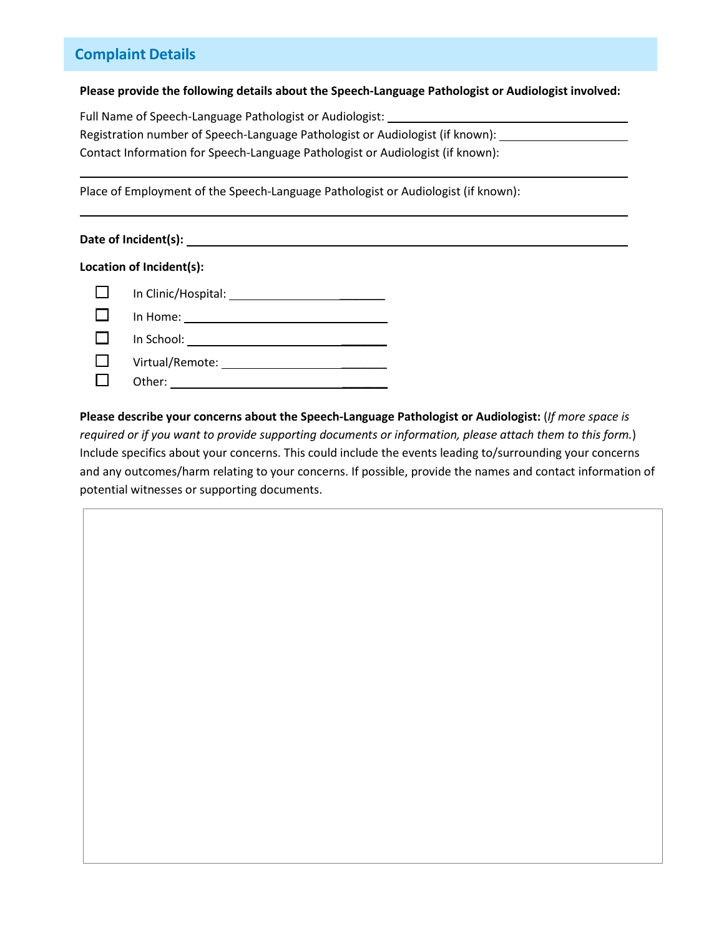# **Complaint Details**

#### **Please provide the following details about the Speech-Language Pathologist or Audiologist involved:**

Full Name of Speech-Language Pathologist or Audiologist: Registration number of Speech-Language Pathologist or Audiologist (if known): Contact Information for Speech-Language Pathologist or Audiologist (if known):

Place of Employment of the Speech-Language Pathologist or Audiologist (if known):

#### **Date of Incident(s):**

#### **Location of Incident(s):**

| In Clinic/Hospital:                                                                                                                                                                                                            |
|--------------------------------------------------------------------------------------------------------------------------------------------------------------------------------------------------------------------------------|
| In Home: the contract of the contract of the contract of the contract of the contract of the contract of the contract of the contract of the contract of the contract of the contract of the contract of the contract of the c |
| In School:                                                                                                                                                                                                                     |
| Virtual/Remote: ______                                                                                                                                                                                                         |
| Other:                                                                                                                                                                                                                         |

**Please describe your concerns about the Speech-Language Pathologist or Audiologist:** (*If more space is required or if you want to provide supporting documents or information, please attach them to this form.*) Include specifics about your concerns. This could include the events leading to/surrounding your concerns and any outcomes/harm relating to your concerns. If possible, provide the names and contact information of potential witnesses or supporting documents.